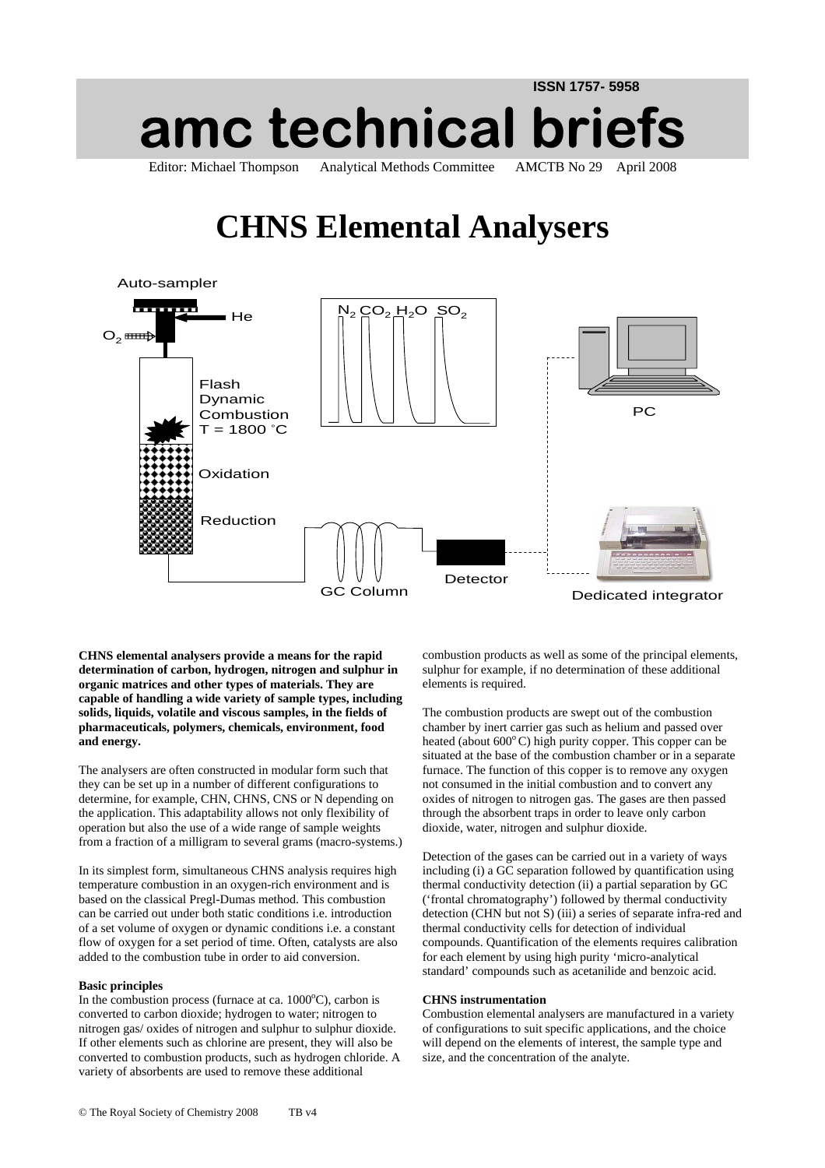## **ISSN 1757- 5958 amc technical briefs** Editor: Michael Thompson Analytical Methods Committee AMCTB No 29 April 2008

# **CHNS Elemental Analysers**



**CHNS elemental analysers provide a means for the rapid determination of carbon, hydrogen, nitrogen and sulphur in organic matrices and other types of materials. They are capable of handling a wide variety of sample types, including solids, liquids, volatile and viscous samples, in the fields of pharmaceuticals, polymers, chemicals, environment, food and energy.** 

The analysers are often constructed in modular form such that they can be set up in a number of different configurations to determine, for example, CHN, CHNS, CNS or N depending on the application. This adaptability allows not only flexibility of operation but also the use of a wide range of sample weights from a fraction of a milligram to several grams (macro-systems.)

In its simplest form, simultaneous CHNS analysis requires high temperature combustion in an oxygen-rich environment and is based on the classical Pregl-Dumas method. This combustion can be carried out under both static conditions i.e. introduction of a set volume of oxygen or dynamic conditions i.e. a constant flow of oxygen for a set period of time. Often, catalysts are also added to the combustion tube in order to aid conversion.

#### **Basic principles**

In the combustion process (furnace at ca.  $1000^{\circ}$ C), carbon is converted to carbon dioxide; hydrogen to water; nitrogen to nitrogen gas/ oxides of nitrogen and sulphur to sulphur dioxide. If other elements such as chlorine are present, they will also be converted to combustion products, such as hydrogen chloride. A variety of absorbents are used to remove these additional

combustion products as well as some of the principal elements, sulphur for example, if no determination of these additional elements is required.

The combustion products are swept out of the combustion chamber by inert carrier gas such as helium and passed over heated (about  $600^{\circ}$ C) high purity copper. This copper can be situated at the base of the combustion chamber or in a separate furnace. The function of this copper is to remove any oxygen not consumed in the initial combustion and to convert any oxides of nitrogen to nitrogen gas. The gases are then passed through the absorbent traps in order to leave only carbon dioxide, water, nitrogen and sulphur dioxide.

Detection of the gases can be carried out in a variety of ways including (i) a GC separation followed by quantification using thermal conductivity detection (ii) a partial separation by GC ('frontal chromatography') followed by thermal conductivity detection (CHN but not S) (iii) a series of separate infra-red and thermal conductivity cells for detection of individual compounds. Quantification of the elements requires calibration for each element by using high purity 'micro-analytical standard' compounds such as acetanilide and benzoic acid.

#### **CHNS instrumentation**

Combustion elemental analysers are manufactured in a variety of configurations to suit specific applications, and the choice will depend on the elements of interest, the sample type and size, and the concentration of the analyte.